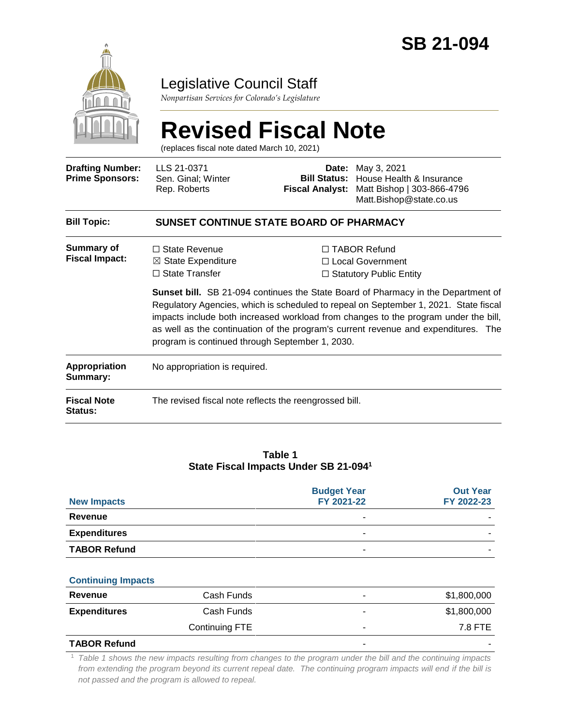

## Legislative Council Staff

*Nonpartisan Services for Colorado's Legislature*

# **Revised Fiscal Note**

(replaces fiscal note dated March 10, 2021)

| <b>Drafting Number:</b><br><b>Prime Sponsors:</b> | LLS 21-0371<br>Sen. Ginal; Winter<br>Rep. Roberts                                                                                                                                                                                                                                                                                                                                                                | <b>Fiscal Analyst:</b> | <b>Date:</b> May 3, 2021<br><b>Bill Status:</b> House Health & Insurance<br>Matt Bishop   303-866-4796<br>Matt.Bishop@state.co.us |  |  |
|---------------------------------------------------|------------------------------------------------------------------------------------------------------------------------------------------------------------------------------------------------------------------------------------------------------------------------------------------------------------------------------------------------------------------------------------------------------------------|------------------------|-----------------------------------------------------------------------------------------------------------------------------------|--|--|
| <b>Bill Topic:</b>                                | <b>SUNSET CONTINUE STATE BOARD OF PHARMACY</b>                                                                                                                                                                                                                                                                                                                                                                   |                        |                                                                                                                                   |  |  |
| Summary of<br><b>Fiscal Impact:</b>               | $\Box$ State Revenue<br>$\boxtimes$ State Expenditure<br>$\Box$ State Transfer                                                                                                                                                                                                                                                                                                                                   |                        | $\Box$ TABOR Refund<br>□ Local Government<br>$\Box$ Statutory Public Entity                                                       |  |  |
|                                                   | <b>Sunset bill.</b> SB 21-094 continues the State Board of Pharmacy in the Department of<br>Regulatory Agencies, which is scheduled to repeal on September 1, 2021. State fiscal<br>impacts include both increased workload from changes to the program under the bill,<br>as well as the continuation of the program's current revenue and expenditures. The<br>program is continued through September 1, 2030. |                        |                                                                                                                                   |  |  |
| <b>Appropriation</b><br>Summary:                  | No appropriation is required.                                                                                                                                                                                                                                                                                                                                                                                    |                        |                                                                                                                                   |  |  |
| <b>Fiscal Note</b><br><b>Status:</b>              | The revised fiscal note reflects the reengrossed bill.                                                                                                                                                                                                                                                                                                                                                           |                        |                                                                                                                                   |  |  |

#### **Table 1 State Fiscal Impacts Under SB 21-094<sup>1</sup>**

| <b>New Impacts</b>  | <b>Budget Year</b><br>FY 2021-22 | <b>Out Year</b><br>FY 2022-23 |
|---------------------|----------------------------------|-------------------------------|
| Revenue             | -                                |                               |
| <b>Expenditures</b> | -                                |                               |
| <b>TABOR Refund</b> | -                                |                               |

#### **Continuing Impacts**

| Revenue             | Cash Funds     |    | \$1,800,000 |
|---------------------|----------------|----|-------------|
| <b>Expenditures</b> | Cash Funds     | ۰. | \$1,800,000 |
|                     | Continuing FTE |    | 7.8 FTE     |
| <b>TABOR Refund</b> |                | -  |             |

<sup>1</sup> *Table 1 shows the new impacts resulting from changes to the program under the bill and the continuing impacts from extending the program beyond its current repeal date. The continuing program impacts will end if the bill is not passed and the program is allowed to repeal.*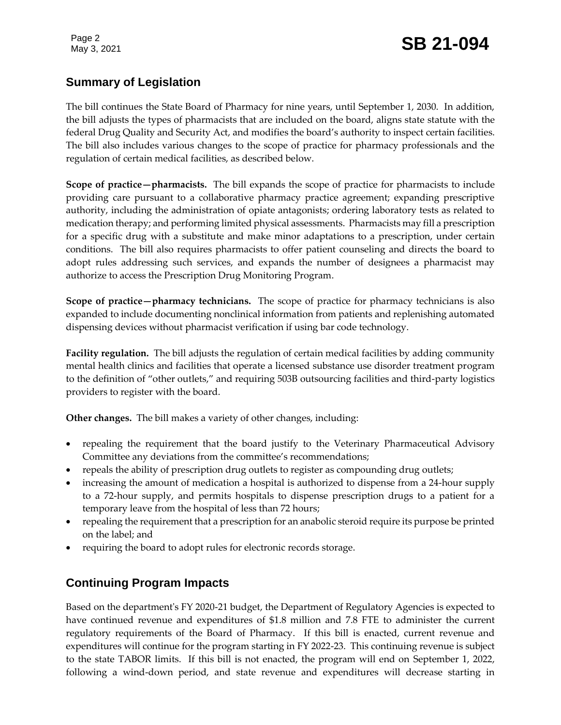Page 2

# Page 2<br>May 3, 2021 **SB 21-094**

#### **Summary of Legislation**

The bill continues the State Board of Pharmacy for nine years, until September 1, 2030. In addition, the bill adjusts the types of pharmacists that are included on the board, aligns state statute with the federal Drug Quality and Security Act, and modifies the board's authority to inspect certain facilities. The bill also includes various changes to the scope of practice for pharmacy professionals and the regulation of certain medical facilities, as described below.

**Scope of practice—pharmacists.** The bill expands the scope of practice for pharmacists to include providing care pursuant to a collaborative pharmacy practice agreement; expanding prescriptive authority, including the administration of opiate antagonists; ordering laboratory tests as related to medication therapy; and performing limited physical assessments. Pharmacists may fill a prescription for a specific drug with a substitute and make minor adaptations to a prescription, under certain conditions. The bill also requires pharmacists to offer patient counseling and directs the board to adopt rules addressing such services, and expands the number of designees a pharmacist may authorize to access the Prescription Drug Monitoring Program.

**Scope of practice—pharmacy technicians.** The scope of practice for pharmacy technicians is also expanded to include documenting nonclinical information from patients and replenishing automated dispensing devices without pharmacist verification if using bar code technology.

**Facility regulation.** The bill adjusts the regulation of certain medical facilities by adding community mental health clinics and facilities that operate a licensed substance use disorder treatment program to the definition of "other outlets," and requiring 503B outsourcing facilities and third-party logistics providers to register with the board.

**Other changes.** The bill makes a variety of other changes, including:

- repealing the requirement that the board justify to the Veterinary Pharmaceutical Advisory Committee any deviations from the committee's recommendations;
- repeals the ability of prescription drug outlets to register as compounding drug outlets;
- increasing the amount of medication a hospital is authorized to dispense from a 24-hour supply to a 72-hour supply, and permits hospitals to dispense prescription drugs to a patient for a temporary leave from the hospital of less than 72 hours;
- repealing the requirement that a prescription for an anabolic steroid require its purpose be printed on the label; and
- requiring the board to adopt rules for electronic records storage.

### **Continuing Program Impacts**

Based on the department's FY 2020-21 budget, the Department of Regulatory Agencies is expected to have continued revenue and expenditures of \$1.8 million and 7.8 FTE to administer the current regulatory requirements of the Board of Pharmacy. If this bill is enacted, current revenue and expenditures will continue for the program starting in FY 2022-23. This continuing revenue is subject to the state TABOR limits. If this bill is not enacted, the program will end on September 1, 2022, following a wind-down period, and state revenue and expenditures will decrease starting in